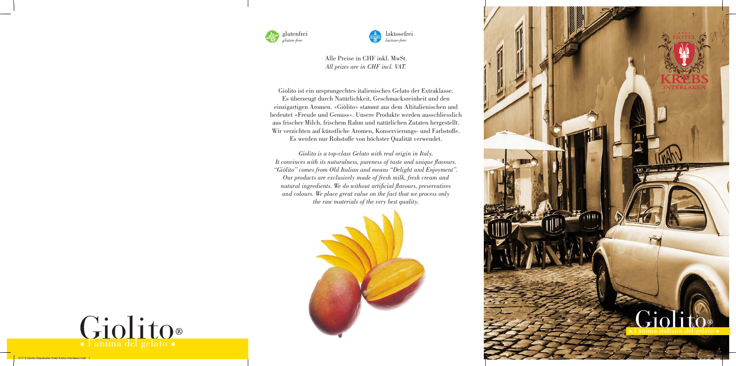Alle Preise in CHF inkl. MwSt. *All prizes are in CHF incl. VAT.*

Giolito ist ein ursprungechtes italienisches Gelato der Extraklasse. Es überzeugt durch Natürlichkeit, Geschmacksreinheit und den einzigartigen Aromen. «Giòlito» stammt aus dem Altitalienischen und bedeutet «Freude und Genuss». Unsere Produkte werden ausschliesslich aus frischer Milch, frischem Rahm und natürlichen Zutaten hergestellt. Wir verzichten auf künstliche Aromen, Konservierungs- und Farbstoffe. Es werden nur Rohstoffe von höchster Qualität verwendet.

*Giolito is a top-class Gelato with real origin in Italy. It convinces with its naturalness, pureness of taste and unique flavours. "Giòlito" comes from Old Italian and means "Delight and Enjoyment". Our products are exclusively made of fresh milk, fresh cream and natural ingredients. We do without artificial flavours, preservatives and colours. We place great value on the fact that we process only the raw materials of the very best quality.*